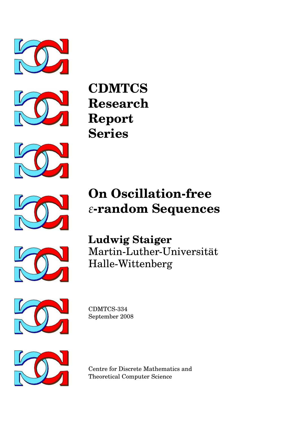



**CDMTCS Research Report Series**



# **On Oscillation-free** *ε***-random Sequences**



**Ludwig Staiger** Martin-Luther-Universitat¨ Halle-Wittenberg



CDMTCS-334 September 2008



Centre for Discrete Mathematics and Theoretical Computer Science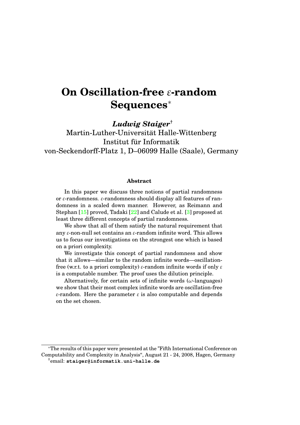# **On Oscillation-free** *ε***-random Sequences**<sup>∗</sup>

*Ludwig Staiger*†

Martin-Luther-Universität Halle-Wittenberg Institut für Informatik von-Seckendorff-Platz 1, D–06099 Halle (Saale), Germany

#### **Abstract**

In this paper we discuss three notions of partial randomness or *ε*-randomness. *ε*-randomness should display all features of randomness in a scaled down manner. However, as Reimann and Stephan [\[15\]](#page-15-0) proved, Tadaki [\[22\]](#page-15-1) and Calude et al. [\[3\]](#page-14-0) proposed at least three different concepts of partial randomness.

We show that all of them satisfy the natural requirement that any *ε*-non-null set contains an *ε*-random infinite word. This allows us to focus our investigations on the strongest one which is based on a priori complexity.

We investigate this concept of partial randomness and show that it allows—similar to the random infinite words—oscillationfree (w.r.t. to a priori complexity) *ε*-random infinite words if only *ε* is a computable number. The proof uses the dilution principle.

Alternatively, for certain sets of infinite words (*ω*-languages) we show that their most complex infinite words are oscillation-free *ε*-random. Here the parameter *ε* is also computable and depends on the set chosen.

<sup>∗</sup>The results of this paper were presented at the "Fifth International Conference on Computability and Complexity in Analysis'', August 21 - 24, 2008, Hagen, Germany †email: **staiger@informatik.uni-halle.de**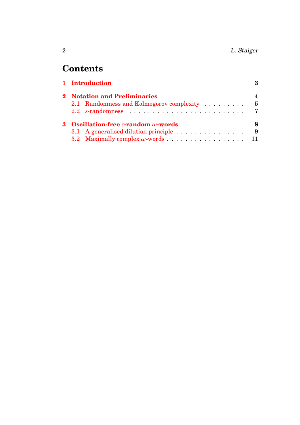# **Contents**

|  | 1 Introduction                                         |     |
|--|--------------------------------------------------------|-----|
|  | 2 Notation and Preliminaries                           |     |
|  | 2.1 Randomness and Kolmogorov complexity               | - 5 |
|  |                                                        |     |
|  | Oscillation-free $\varepsilon$ -random $\omega$ -words |     |
|  | 3.1 A generalised dilution principle                   | - 9 |
|  | 3.2 Maximally complex $\omega$ -words 11               |     |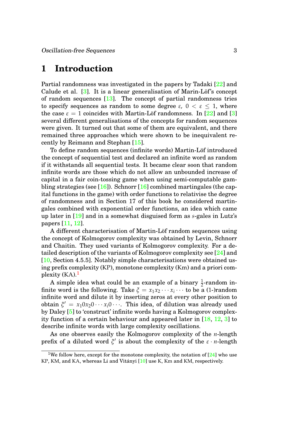# <span id="page-3-0"></span>**1 Introduction**

Partial randomness was investigated in the papers by Tadaki [\[22\]](#page-15-1) and Calude et al.  $[3]$ . It is a linear generalisation of Marin-Löf's concept of random sequences [\[13\]](#page-14-1). The concept of partial randomness tries to specify sequences as random to some degree  $\varepsilon$ ,  $0 < \varepsilon \leq 1$ , where the case  $\varepsilon = 1$  coincides with Martin-Löf randomness. In [[22\]](#page-15-1) and [\[3\]](#page-14-0) several different generalisations of the concepts for random sequences were given. It turned out that some of them are equivalent, and there remained three approaches which were shown to be inequivalent recently by Reimann and Stephan [\[15\]](#page-15-0).

To define random sequences (infinite words) Martin-Löf introduced the concept of sequential test and declared an infinite word as random if it withstands all sequential tests. It became clear soon that random infinite words are those which do not allow an unbounded increase of capital in a fair coin-tossing game when using semi-computable gambling strategies (see  $[16]$ ). Schnorr  $[16]$  combined martingales (the capital functions in the game) with order functions to relativise the degree of randomness and in Section 17 of this book he considered martingales combined with exponential order functions, an idea which came up later in [\[19\]](#page-15-3) and in a somewhat disguised form as *s*-gales in Lutz's papers [\[11,](#page-14-2) [12\]](#page-14-3).

A different characterisation of Martin-Löf random sequences using the concept of Kolmogorov complexity was obtained by Levin, Schnorr and Chaitin. They used variants of Kolmogorov complexity. For a detailed description of the variants of Kolmogorov complexity see [\[24\]](#page-15-4) and [\[10,](#page-14-4) Section 4.5.5]. Notably simple characterisations were obtained using prefix complexity (KP), monotone complexity (Km) and a priori complexity  $(KA)$ .<sup>[1](#page-3-1)</sup>

A simple idea what could be an example of a binary  $\frac{1}{2}$ -random infinite word is the following. Take  $\zeta = x_1 x_2 \cdots x_i \cdots$  to be a (1-)random infinite word and dilute it by inserting zeros at every other position to obtain  $\xi' = x_1 0 x_2 0 \cdots x_i 0 \cdots$ . This idea, of dilution was already used by Daley [\[5\]](#page-14-5) to 'construct' infinite words having a Kolmogorov complexity function of a certain behaviour and appeared later in [\[18,](#page-15-5) [12,](#page-14-3) [3\]](#page-14-0) to describe infinite words with large complexity oscillations.

As one observes easily the Kolmogorov complexity of the *n*-length prefix of a diluted word  $\xi'$  is about the complexity of the  $\varepsilon \cdot n$ -length

<span id="page-3-1"></span><sup>&</sup>lt;sup>1</sup>We follow here, except for the monotone complexity, the notation of  $[24]$  who use KP, KM, and KA, whereas Li and Vitányi [[10\]](#page-14-4) use K, Km and KM, respectively.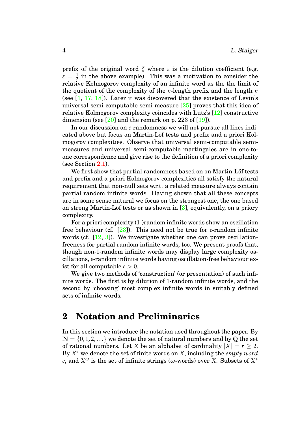prefix of the original word  $\zeta$  where  $\varepsilon$  is the dilution coefficient (e.g.  $\varepsilon = \frac{1}{2}$  in the above example). This was a motivation to consider the relative Kolmogorov complexity of an infinite word as the the limit of the quotient of the complexity of the *n*-length prefix and the length *n* (see  $[1, 17, 18]$  $[1, 17, 18]$  $[1, 17, 18]$  $[1, 17, 18]$  $[1, 17, 18]$ ). Later it was discovered that the existence of Levin's universal semi-computable semi-measure [\[25\]](#page-15-7) proves that this idea of relative Kolmogorov complexity coincides with Lutz's [\[12\]](#page-14-3) constructive dimension (see  $[20]$  and the remark on p. 223 of  $[19]$ ).

In our discussion on *ε*-randomness we will not pursue all lines indicated above but focus on Martin-Löf tests and prefix and a priori Kolmogorov complexities. Observe that universal semi-computable semimeasures and universal semi-computable martingales are in one-toone correspondence and give rise to the definition of a priori complexity (see Section [2.1\)](#page-5-0).

We first show that partial randomness based on on Martin-Löf tests and prefix and a priori Kolmogorov complexities all satisfy the natural requirement that non-null sets w.r.t. a related measure always contain partial random infinite words. Having shown that all these concepts are in some sense natural we focus on the strongest one, the one based on strong Martin-Löf tests or as shown in  $[3]$  $[3]$ , equivalently, on a priory complexity.

For a priori complexity (1-)random infinite words show an oscillationfree behaviour (cf. [\[23\]](#page-15-9)). This need not be true for *ε*-random infinite words (cf.  $[12, 3]$  $[12, 3]$  $[12, 3]$ ). We investigate whether one can prove oscillationfreeness for partial random infinite words, too. We present proofs that, though non-1-random infinite words may display large complexity oscillations, *ε*-random infinite words having oscillation-free behaviour exist for all computable  $\varepsilon > 0$ .

We give two methods of 'construction' (or presentation) of such infinite words. The first is by dilution of 1-random infinite words, and the second by 'choosing' most complex infinite words in suitably defined sets of infinite words.

### <span id="page-4-0"></span>**2 Notation and Preliminaries**

In this section we introduce the notation used throughout the paper. By  $\mathbb{N} = \{0, 1, 2, \ldots\}$  we denote the set of natural numbers and by Q the set of rational numbers. Let *X* be an alphabet of cardinality  $|X| = r \ge 2$ . By *X* <sup>∗</sup> we denote the set of finite words on *X*, including the *empty word e*, and  $X^\omega$  is the set of infinite strings ( $\omega$ -words) over *X*. Subsets of  $X^*$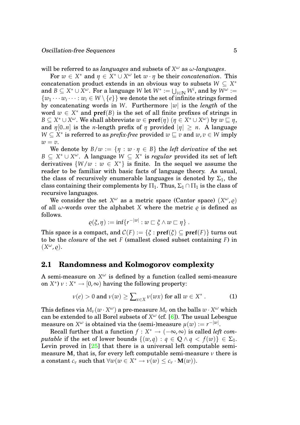will be referred to as *languages* and subsets of  $X^\omega$  as  $\omega$ *-languages*.

For  $w \in X^*$  and  $\eta \in X^* \cup X^{\omega}$  let  $w \cdot \eta$  be their *concatenation*. This concatenation product extends in an obvious way to subsets  $W \subseteq X^*$  $\mathbf{A} \subseteq X^* \cup \overline{X}^\omega.$  For a language  $W$  let  $W^* := \bigcup_{i \in \mathbb{N}} W^i,$  and by  $W^\omega := \mathbb{N}$  $\{w_1 \cdots w_i \cdots : w_i \in W \setminus \{e\}\}\$  we denote the set of infinite strings formed by concatenating words in *W*. Furthermore |*w*| is the *length* of the word  $w \in X^*$  and  $\text{pref}(B)$  is the set of all finite prefixes of strings in  $B\subseteq X^*\cup X^\omega.$  We shall abbreviate  $w\in\textbf{pref}(\eta)~(\eta\in X^*\cup X^\omega)$  by  $w\sqsubseteq\eta,$ and  $\eta$ [0..*n*] is the *n*-length prefix of  $\eta$  provided  $|\eta| \geq n$ . A language  $W \subseteq X^*$  is referred to as *prefix-free* provided  $w \sqsubseteq v$  and  $w, v \in W$  imply  $w = v$ .

We denote by  $B/w := \{ \eta : w \cdot \eta \in B \}$  the *left derivative* of the set  $B \subseteq X^* \cup X^\omega$ . A language  $W \subseteq X^*$  is *regular* provided its set of left derivatives  $\{W/w : w \in X^*\}$  is finite. In the sequel we assume the reader to be familiar with basic facts of language theory. As usual, the class of recursively enumerable languages is denoted by  $\Sigma_1$ , the class containing their complements by  $\Pi_1$ . Thus,  $\Sigma_1 \cap \Pi_1$  is the class of recursive languages.

We consider the set  $X^{\omega}$  as a metric space (Cantor space)  $(X^{\omega}, \varrho)$ of all  $\omega$ -words over the alphabet *X* where the metric  $\rho$  is defined as follows.

$$
\varrho(\xi,\eta):=\inf\{r^{-|w|}:w\sqsubset \xi\wedge w\sqsubset \eta\}.
$$

This space is a compact, and  $C(F) := \{ \xi : \textbf{pref}(\xi) \subseteq \textbf{pref}(F) \}$  turns out to be the *closure* of the set *F* (smallest closed subset containing *F*) in  $(X^{\omega}, \varrho).$ 

#### <span id="page-5-0"></span>**2.1 Randomness and Kolmogorov complexity**

A semi-measure on  $X^\omega$  is defined by a function (called semi-measure on  $X^*$ )  $\nu: X^* \to [0, \infty)$  having the following property:

$$
\nu(e) > 0 \text{ and } \nu(w) \ge \sum_{x \in X} \nu(wx) \text{ for all } w \in X^* \,.
$$
 (1)

This defines via  $M_\nu(w\cdot X^\omega)$  a pre-measure  $M_\nu$  on the balls  $w\cdot X^\omega$  which can be extended to all Borel subsets of *X ω* (cf. [\[6\]](#page-14-6)). The usual Lebesgue  $\text{measure on } X^\omega \text{ is obtained via the (semi-)measure } \mu(w) := r^{-|w|}.$ 

Recall further that a function  $f: X^* \to (-\infty, \infty)$  is called *left computable* if the set of lower bounds  $\{(w,q) : q \in \mathbb{Q} \land q < f(w)\} \in \Sigma_1$ . Levin proved in  $[25]$  that there is a universal left computable semimeasure **M**, that is, for every left computable semi-measure  $\nu$  there is a constant  $c_v$  such that  $\forall w (w \in X^* \to \nu(w) \leq c_v \cdot M(w)).$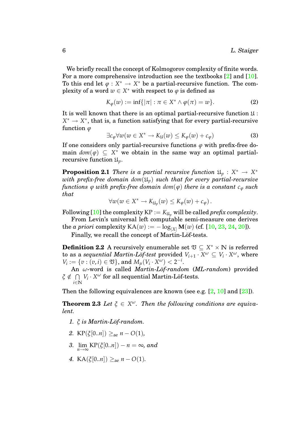We briefly recall the concept of Kolmogorov complexity of finite words. For a more comprehensive introduction see the textbooks [\[2\]](#page-14-7) and [\[10\]](#page-14-4). To this end let  $\varphi: X^* \to X^*$  be a partial-recursive function. The complexity of a word  $w \in X^*$  with respect to  $\varphi$  is defined as

$$
K_{\varphi}(w) := \inf\{|\pi| : \pi \in X^* \wedge \varphi(\pi) = w\}.
$$
 (2)

It is well known that there is an optimal partial-recursive function  $\mathfrak{U}$ :  $X^* \to X^*$ , that is, a function satisfying that for every partial-recursive function *ϕ*

$$
\exists c_{\varphi} \forall w (w \in X^* \to K_{\mathfrak{U}}(w) \le K_{\varphi}(w) + c_{\varphi}) \tag{3}
$$

If one considers only partial-recursive functions  $\varphi$  with prefix-free domain  $dom(\varphi) \subseteq X^*$  we obtain in the same way an optimal partialrecursive function U*p*.

**Proposition 2.1** *There is a partial recursive function*  $\mathfrak{U}_p$  :  $X^* \to X^*$ *with prefix-free domain dom* $(\mathfrak{U}_p)$  *such that for every partial-recursive functions*  $\varphi$  *with prefix-free domain dom*( $\varphi$ ) *there is a constant*  $c_{\varphi}$  *such that*

<span id="page-6-0"></span>
$$
\forall w(w \in X^* \to K_{\mathfrak{U}_p}(w) \leq K_{\varphi}(w) + c_{\varphi}).
$$

Following [\[10\]](#page-14-4) the complexity  $KP := K_{\mathfrak{U}_p}$  will be called *prefix complexity*.

From Levin's universal left computable semi-measure one derives the *a priori* complexity  $KA(w) := -\log_{|X|} M(w)$  (cf. [\[10,](#page-14-4) [23,](#page-15-9) [24,](#page-15-4) [20\]](#page-15-8)).

Finally, we recall the concept of Martin-Löf-tests.

**Definition 2.2** A recursively enumerable set  $\mathfrak{V} \subseteq X^* \times \mathbb{N}$  is referred to as a *sequential Martin-Löf-test* provided  $V_{i+1} \cdot X^{\omega} \subseteq V_i \cdot X^{\omega}$ , where *V*<sub>*i*</sub> := {*v* : (*v*, *i*)  $\in \mathfrak{V}$ }, and  $M_{\mu}(V_i \cdot X^{\omega}) < 2^{-i}$ .

An *ω*-word is called *Martin-L¨of-random* (*ML-random*) provided  $\zeta \notin \bigcap V_i \cdot X^\omega$  for all sequential Martin-Löf-tests.  $i \in \mathbb{N}$ 

Then the following equivalences are known (see e.g.  $[2, 10]$  $[2, 10]$  $[2, 10]$  and  $[23]$ ).

**Theorem 2.3** Let  $\xi \in X^{\omega}$ . Then the following conditions are equiva*lent.*

- 1. *ξ is Martin-Löf-random.*
- *2.* KP( $\xi$ [0..*n*])  $\geq_{\text{ae}} n O(1)$ ,
- 3.  $\lim_{n \to \infty} \text{KP}(\xi[0..n]) n = \infty$ , and
- *4.* KA( $\xi$ [0..*n*])  $\geq_{\text{ae}} n O(1)$ .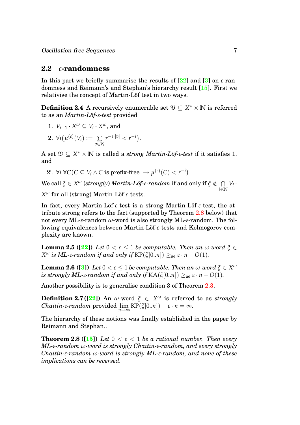#### <span id="page-7-0"></span>**2.2** *ε***-randomness**

In this part we briefly summarise the results of  $[22]$  and  $[3]$  on *ε*-randomness and Reimann's and Stephan's hierarchy result [\[15\]](#page-15-0). First we relativise the concept of Martin-Löf test in two ways.

**Definition 2.4** A recursively enumerable set  $\mathfrak{V} \subseteq X^* \times \mathbb{N}$  is referred to as an *Martin-L¨of-ε-test* provided

- 1.  $V_{i+1} \cdot X^{\omega} \subseteq V_i \cdot X^{\omega}$ , and
- $2. \ \forall i(\mu^{(\varepsilon)}(V_i) := \Sigma)$ *v*∈*V<sup>i</sup>*  $r^{-\varepsilon \cdot |v|} < r^{-i}$ ).

A set  $\mathfrak{V} \subseteq X^* \times \mathbb{N}$  is called a *strong Martin-Löf-* $\varepsilon$ *-test* if it satisfies 1. and

 $2'. \ \forall i \ \forall C \big(C \subseteq V_i \land C \text{ is prefix-free } \rightarrow \mu^{(\varepsilon)}(C) < r^{-i}\big).$ 

 $\forall \forall \theta \text{ call } \xi \in X^\omega \text{ (strongly) } Martin\text{-}L\ddot{o}f\text{-}\varepsilon\text{-}random \text{ if and only if } \xi \notin \ \cap$ *i*∈**N**  $V_i$ .

*X<sup>ω</sup>* for all (strong) Martin-Löf-ε-tests.

In fact, every Martin-Löf-ε-test is a strong Martin-Löf-ε-test, the attribute strong refers to the fact (supported by Theorem [2.8](#page-7-1) below) that not every ML-*ε*-random *ω*-word is also strongly ML-*ε*-random. The following equivalences between Martin-Löf-ε-tests and Kolmogorov complexity are known.

**Lemma 2.5** ( $[22]$ ) *Let*  $0 < \varepsilon < 1$  *be computable. Then an ω-word*  $\xi \in$ *X*<sup>ω</sup> *is*  $ML$ -*ε*-random if and only if KP( $\zeta$ [0..*n*]) ≥<sub>ae</sub>  $\varepsilon \cdot n$  − *O*(1)*.* 

**Lemma 2.6** ([\[3\]](#page-14-0)) Let  $0 < \varepsilon \leq 1$  be computable. Then an  $\omega$ -word  $\xi \in X^\omega$ *is strongly ML-ε-random if and only if*  $KA(\xi[0..n]) \geq_{ae} \varepsilon \cdot n - O(1)$ *.* 

Another possibility is to generalise condition 3 of Theorem [2.3.](#page-6-0)

 $\textbf{Definition 2.7} \left( \textbf{[22]}\right) \text{ An }\omega\text{-word } \xi \ \in\ X^\omega \text{ is referred to as \textit{strongly}}$  $\textbf{Definition 2.7} \left( \textbf{[22]}\right) \text{ An }\omega\text{-word } \xi \ \in\ X^\omega \text{ is referred to as \textit{strongly}}$  $\textbf{Definition 2.7} \left( \textbf{[22]}\right) \text{ An }\omega\text{-word } \xi \ \in\ X^\omega \text{ is referred to as \textit{strongly}}$  $\mathcal{C}$ *haitin-ε-random* provided  $\lim_{n\to\infty}$  KP( $\zeta$ [0..*n*]) − ε ⋅ *n* = ∞.

<span id="page-7-1"></span>The hierarchy of these notions was finally established in the paper by Reimann and Stephan..

**Theorem 2.8 ([\[15\]](#page-15-0))** *Let*  $0 < \varepsilon < 1$  *be a rational number. Then every ML-ε-random ω-word is strongly Chaitin-ε-random, and every strongly Chaitin-ε-random ω-word is strongly ML-ε-random, and none of these implications can be reversed.*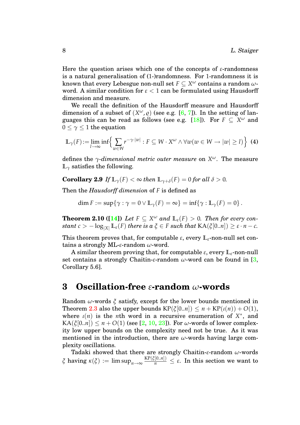Here the question arises which one of the concepts of *ε*-randomness is a natural generalisation of (1-)randomness. For 1-randomness it is known that every Lebesgue non-null set  $F \subseteq X^\omega$  contains a random  $\omega$ word. A similar condition for  $\varepsilon < 1$  can be formulated using Hausdorff dimension and measure.

We recall the definition of the Hausdorff measure and Hausdorff dimension of a subset of  $(X^{\omega}, \varrho)$  (see e.g. [\[6,](#page-14-6) [7\]](#page-14-8)). In the setting of lan-guages this can be read as follows (see e.g. [\[18\]](#page-15-5)). For  $F \subseteq X^\omega$  and  $0 \leq \gamma \leq 1$  the equation

$$
\mathbb{L}_{\gamma}(F) := \lim_{l \to \infty} \inf \left\{ \sum_{w \in W} r^{-\gamma \cdot |w|} : F \subseteq W \cdot X^{\omega} \wedge \forall w (w \in W \to |w| \ge l) \right\} \tag{4}
$$

defines the *γ-dimensional metric outer measure* on *X ω*. The measure **L***<sup>γ</sup>* satisfies the following.

**Corollary 2.9** *If*  $\mathbb{L}_{\gamma}(F) < \infty$  *then*  $\mathbb{L}_{\gamma+\delta}(F) = 0$  *for all*  $\delta > 0$ *.* 

Then the *Hausdorff dimension* of *F* is defined as

$$
\dim F := \sup\{\gamma : \gamma = 0 \vee \mathbb{L}_{\gamma}(F) = \infty\} = \inf\{\gamma : \mathbb{L}_{\gamma}(F) = 0\}.
$$

<span id="page-8-1"></span>**Theorem 2.10** ([\[14\]](#page-14-9)) Let  $F \subseteq X^\omega$  and  $\mathbb{L}_{\varepsilon}(F) > 0$ . Then for every con*stant*  $c > -\log_{|X|} L_{\varepsilon}(F)$  *there is a*  $\xi \in F$  *such that*  $KA(\xi[0..n]) \geq \varepsilon \cdot n - c$ *.* 

This theorem proves that, for computable  $\varepsilon$ , every  $\mathbb{L}_{\varepsilon}$ -non-null set contains a strongly ML-*ε*-random *ω*-word.

A similar theorem proving that, for computable *ε*, every **L***ε*-non-null set contains a strongly Chaitin-*ε*-random *ω*-word can be found in [\[3,](#page-14-0) Corollary 5.6].

### <span id="page-8-0"></span>**3 Oscillation-free** *ε***-random** *ω***-words**

Random *ω*-words *ξ* satisfy, except for the lower bounds mentioned in Theorem [2.3](#page-6-0) also the upper bounds  $KP(\xi[0..n]) \leq n + KP(\iota(n)) + O(1)$ , where  $\iota(n)$  is the *n*th word in a recursive enumeration of  $X^*$ , and KA( $\zeta[0..n]$ )  $\leq n + O(1)$  (see [\[2,](#page-14-7) [10,](#page-14-4) [23\]](#page-15-9)). For  $\omega$ -words of lower complexity low upper bounds on the complexity need not be true. As it was mentioned in the introduction, there are *ω*-words having large complexity oscillations.

Tadaki showed that there are strongly Chaitin-*ε*-random *ω*-words *ξ* having  $\kappa(\xi) := \limsup_{n \to \infty} \frac{\text{KP}(\xi[0..n])}{n} \leq \varepsilon$ . In this section we want to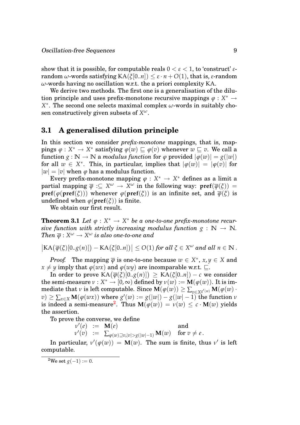show that it is possible, for computable reals  $0 < \varepsilon < 1$ , to 'construct'  $\varepsilon$ random *ω*-words satisfying KA(*ξ*[0..*n*]) ≤ *ε* · *n* + *O*(1), that is, *ε*-random *ω*-words having no oscillation w.r.t. the a priori complexity KA.

We derive two methods. The first one is a generalisation of the dilution principle and uses prefix-monotone recursive mappings  $\varphi : X^* \to Y^*$ *X* ∗ . The second one selects maximal complex *ω*-words in suitably chosen constructively given subsets of *X ω*.

#### <span id="page-9-0"></span>**3.1 A generalised dilution principle**

In this section we consider *prefix-monotone* mappings, that is, mappings  $\varphi: X^* \to X^*$  satisfying  $\varphi(w) \sqsubseteq \varphi(v)$  whenever  $w \sqsubseteq v$ . We call a function  $g : \mathbb{N} \to \mathbb{N}$  a *modulus function* for  $\varphi$  provided  $|\varphi(w)| = g(|w|)$ for all  $w \in X^*$ . This, in particular, implies that  $|\varphi(w)| = |\varphi(v)|$  for  $|w| = |v|$  when  $\varphi$  has a modulus function.

Every prefix-monotone mapping  $\varphi\,:\,X^\ast\,\to\,X^\ast$  defines as a limit a  $\mathsf{partial \ map} \mathsf{ing} \ \overline{\varphi} \ \mathsf{:} \subseteq \ X^\omega \ \to \ X^\omega \ \mathsf{in} \ \mathsf{the} \ \mathsf{following} \ \mathsf{way} \colon \ \mathsf{pref}(\overline{\varphi}(\xi)) \ =$ **pref**( $\phi$ (**pref**( $\zeta$ ))) whenever  $\phi$ (**pref**( $\zeta$ )) is an infinite set, and  $\overline{\phi}(\zeta)$  is undefined when  $\varphi$ (**pref**( $\zeta$ )) is finite.

<span id="page-9-2"></span>We obtain our first result.

**Theorem 3.1** *Let*  $\varphi : X^* \to X^*$  *be a one-to-one prefix-monotone recursive function with strictly increasing modulus function*  $g : \mathbb{N} \to \mathbb{N}$ *.*  $\mathit{Then} \,\, \overline{\varphi}: X^{\omega} \rightarrow X^{\omega} \,\, \textit{is also one-to-one and}$ 

 $\big| \text{KA}(\overline{\varphi}(\xi)[0..g(n)]) - \text{KA}(\xi[0..n]) \big| \leq O(1)$  for all  $\xi \in X^{\omega}$  and all  $n \in \mathbb{N}$ .

*Proof.* The mapping  $\overline{\varphi}$  is one-to-one because  $w \in X^*$ ,  $x, y \in X$  and  $x \neq y$  imply that  $\varphi(wx)$  and  $\varphi(wy)$  are incomparable w.r.t.  $\sqsubseteq$ .

 $\text{In order to prove }\text{KA}\big(\overline{\varphi}(\xi)[0..g(n)]\big) \,\geq\, \text{KA}(\xi[0..n])-c\,\,\text{we consider}$  ${\bf th}$ e semi-measure  $\nu: X^* \to [0,\infty)$  defined by  $\nu(w) := {\bf M}(\varphi(w)).$  It is im- $\mathbf{m}$ ediate that  $\nu$  is left computable. Since  $\mathbf{M}(\varphi(w)) \geq \sum_{v \in X^{g'(w)}} \mathbf{M}(\varphi(w))$  $\mathbf{w}(\mathbf{v}) \geq \sum_{x \in X} \mathbf{M}(\varphi(wx))$  where  $g'(w) := g(|w|) - g(|w| - 1)$  the function  $w$  $\text{is indeed a semi-measure}^2. \text{ Thus } \mathbf{M}(\phi(w)) = \nu(w) \leq c \cdot \mathbf{M}(w) \text{ yields }$  $\text{is indeed a semi-measure}^2. \text{ Thus } \mathbf{M}(\phi(w)) = \nu(w) \leq c \cdot \mathbf{M}(w) \text{ yields }$  $\text{is indeed a semi-measure}^2. \text{ Thus } \mathbf{M}(\phi(w)) = \nu(w) \leq c \cdot \mathbf{M}(w) \text{ yields }$ the assertion.

To prove the converse, we define

 $\nu'(e)$  := **M**(*e*) and  $\nu'(v) \;\; := \;\; \sum_{\varphi(w) \supseteq v, |\tv| > g(|w|-1)} \mathbf{M}(w) \quad \text{ for } v \neq e \,.$ 

In particular,  $v'(\varphi(w)) = M(w)$ . The sum is finite, thus  $v'$  is left computable.

<span id="page-9-1"></span><sup>&</sup>lt;sup>2</sup>We set  $g(-1) := 0$ .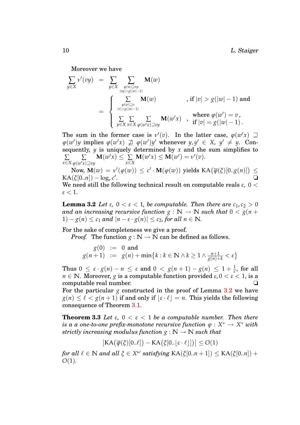Moreover we have

$$
\sum_{y \in X} v'(vy) = \sum_{\substack{y \in X \\ |vy| > g(|w|-1) \\ \varphi(w) \supseteq v \\ |v| > g(|w|-1)}} \mathbf{M}(w) \qquad \text{, if } |v| > g(|w|-1) \text{ and}
$$
\n
$$
= \begin{cases}\n\sum_{\substack{\varphi(w) \supseteq v \\ |v| > g(|w|-1) \\ \sum_{y \in X} \sum_{x \in X} \sum_{\varphi(w'x) \supseteq vy}} \mathbf{M}(w') & \text{, if } |v| > g(|w|-1) \text{ and} \\
\sum_{y \in X} \sum_{x \in X} \sum_{\varphi(w'x) \supseteq vy} \mathbf{M}(w'x) & \text{, if } |v| = g(|w|-1).\n\end{cases}
$$

The sum in the former case is  $v'(v)$ . In the latter case,  $\varphi(w'x) \supseteq$  $\varphi(w')y$  implies  $\varphi(w'x) \ncong \varphi(w')y'$  whenever  $y, y' \in X$ ,  $y' \neq y$ . Consequently,  $y$  is uniquely determined by  $x$  and the sum simplifies to ∑ *x*∈*X* ∑  $\varphi$ (*w'x*) $\exists v$ *y*  $M(w'x) \leq \sum$ *x*∈*X*  $M(w'x) \leq M(w') = \nu'(v).$ 

Now,  $\mathbf{M}(w) = v'(\varphi(w)) \leq c' \cdot \mathbf{M}(\varphi(w))$  yields  $\operatorname{KA}(\overline{\varphi}(\xi)[0..g(n)]) \leq$  $KA(\xi[0..n]) - \log_r c'$ . ❏ We need still the following technical result on computable reals  $\varepsilon$ ,  $0 <$  $\varepsilon < 1$ .

<span id="page-10-0"></span>**Lemma 3.2** *Let*  $\varepsilon$ ,  $0 < \varepsilon < 1$ , *be computable. Then there are*  $c_1, c_2 > 0$ *and an increasing recursive function*  $g : \mathbb{N} \to \mathbb{N}$  *such that*  $0 < g(n +$ 1)  $-g(n) \leq c_1$  and  $|n - \varepsilon \cdot g(n)| \leq c_2$ , for all  $n \in \mathbb{N}$ .

For the sake of completeness we give a proof.

*Proof.* The function  $g : \mathbb{N} \to \mathbb{N}$  can be defined as follows.

$$
g(0) := 0 \text{ and}
$$
  

$$
g(n+1) := g(n) + \min\{k : k \in \mathbb{N} \land k \ge 1 \land \frac{n+1}{g(n)+k} < \varepsilon\}
$$

Thus  $0 \le \varepsilon \cdot g(n) - n \le \varepsilon$  and  $0 < g(n+1) - g(n) \le 1 + \frac{1}{\varepsilon}$ , for all  $n \in \mathbb{N}$ . Moreover, *g* is a computable function provided  $\varepsilon$ ,  $0 < \varepsilon < 1$ , is a computable real number. ❏

For the particular  $g$  constructed in the proof of Lemma  $3.2$  we have  $g(n) \leq \ell < g(n+1)$  if and only if  $|\varepsilon \cdot \ell| = n$ . This yields the following consequence of Theorem [3.1.](#page-9-2)

**Theorem 3.3** Let  $\varepsilon$ ,  $0 < \varepsilon < 1$  be a computable number. Then there  $i$ s a a one-to-one prefix-monotone recursive function  $\varphi : X^* \to X^*$  with *strictly increasing modulus function*  $g : \mathbb{N} \to \mathbb{N}$  *such that* 

$$
\big| \text{KA}\big(\overline{\varphi}(\xi)[0..\ell]\big) - \text{KA}\big(\xi[0..\lfloor \varepsilon \cdot \ell \rfloor] \big) \big| \leq O(1)
$$

 $f$ or all  $\ell \in \mathbb{N}$  and all  $\xi \in X^\omega$  satisfying  $\text{KA}(\xi[0..n+1]) \leq \text{KA}(\xi[0..n]) + \ell$ *O*(1)*.*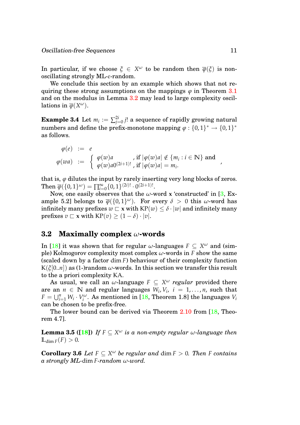In particular, if we choose  $\xi \in X^\omega$  to be random then  $\overline{\varphi}(\xi)$  is nonoscillating strongly ML-*ε*-random.

We conclude this section by an example which shows that not requiring these strong assumptions on the mappings *ϕ* in Theorem [3.1](#page-9-2) and on the modulus in Lemma [3.2](#page-10-0) may lead to large complexity oscillations in  $\overline{\varphi}(X^{\omega}).$ 

 $\textbf{Example 3.4} \ \text{Let} \ m_i := \sum_{j=0}^{2i} j! \ \text{a sequence of rapidly growing natural}$ numbers and define the prefix-monotone mapping  $\varphi: \{0,1\}^* \rightarrow \{0,1\}^*$ as follows.

$$
\varphi(e) := e
$$
  

$$
\varphi(wa) := \begin{cases} \varphi(w)a & \text{if } |\varphi(w)a| \notin \{m_i : i \in \mathbb{N}\} \text{ and } \\ \varphi(w)a0^{(2i+1)!}, & \text{if } |\varphi(w)a| = m_i. \end{cases}
$$

that is,  $\varphi$  dilutes the input by rarely inserting very long blocks of zeros.  $\text{Then }\overline{\varphi}(\{0, 1\}^\omega) = \prod_{i=0}^\infty \{0, 1\}^{(2i)!} \cdot 0^{(2i+1)!}.$ 

Now, one easily observes that the  $\omega$ -word **x** 'constructed' in [\[3,](#page-14-0) Example 5.2] belongs to  $\overline{\varphi}(\{0,1\}^\omega)$ . For every  $\delta\,>\,0$  this  $\omega$ -word has infinitely many prefixes  $w \nightharpoonup x$  with  $KP(w) \leq \delta \cdot |w|$  and infinitely many prefixes  $v \subset \mathbf{x}$  with  $KP(v) \geq (1 - \delta) \cdot |v|$ .

#### <span id="page-11-0"></span>**3.2 Maximally complex** *ω***-words**

In [\[18\]](#page-15-5) it was shown that for regular  $\omega$ -languages  $F \subseteq X^\omega$  and (simple) Kolmogorov complexity most complex *ω*-words in *F* show the same (scaled down by a factor dim *F*) behaviour of their complexity function  $K(\xi[0..n])$  as (1-)random  $\omega$ -words. In this section we transfer this result to the a priori complexity KA.

As usual, we call an  $\omega$ -language  $F \subseteq X^\omega$  *regular* provided there are an  $n \in \mathbb{N}$  and regular languages  $W_i, V_i, i = 1, ..., n$ , such that  $F = \bigcup_{i=1}^{n} W_i \cdot V_i^{\omega}$ . As mentioned in [\[18,](#page-15-5) Theorem 1.8] the languages  $V_i$ can be chosen to be prefix-free.

The lower bound can be derived via Theorem [2.10](#page-8-1) from [\[18,](#page-15-5) Theorem 4.7].

**Lemma 3.5 ([\[18\]](#page-15-5))** If  $F \subseteq X^\omega$  is a non-empty regular  $\omega$ -language then  $\mathbb{L}_{\dim F}(F) > 0$ .

**Corollary 3.6** *Let*  $F \subseteq X^\omega$  *be regular and* dim  $F > 0$ *. Then F contains a strongly ML-*dim *F-random ω-word.*

,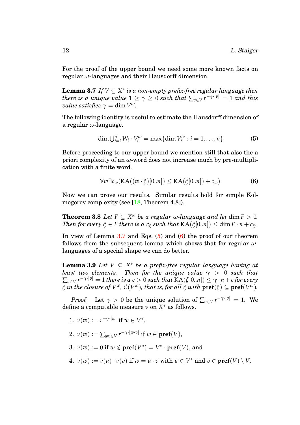For the proof of the upper bound we need some more known facts on regular *ω*-languages and their Hausdorff dimension.

**Lemma 3.7** *If*  $V \subseteq X^*$  is a non-empty prefix-free regular language then *there is a unique value*  $1 \geq \gamma \geq 0$  *such that*  $\sum_{v \in V} r^{-\gamma \cdot |v|} = 1$  *and this*  $value \ satisfies \ \gamma = \dim V^\omega.$ 

The following identity is useful to estimate the Hausdorff dimension of a regular *ω*-language.

<span id="page-12-1"></span><span id="page-12-0"></span>
$$
\dim \bigcup_{i=1}^{n} W_i \cdot V_i^{\omega} = \max \{ \dim V_i^{\omega} : i = 1, \dots, n \}
$$
 (5)

Before proceeding to our upper bound we mention still that also the a priori complexity of an *ω*-word does not increase much by pre-multiplication with a finite word.

<span id="page-12-2"></span>
$$
\forall w \exists c_w (\text{KA}((w \cdot \xi)[0..n]) \leq \text{KA}(\xi[0..n]) + c_w)
$$
(6)

Now we can prove our results. Similar results hold for simple Kol-mogorov complexity (see [\[18,](#page-15-5) Theorem 4.8]).

**Theorem 3.8** *Let*  $F \subseteq X^\omega$  *be a regular*  $\omega$ *-language and let* dim  $F > 0$ *. Then for every*  $\xi \in F$  *there is a*  $c_{\xi}$  *such that*  $\text{KA}(\xi[0..n]) \leq \dim F \cdot n + c_{\xi}$ .

In view of Lemma  $3.7$  and Eqs.  $(5)$  and  $(6)$  the proof of our theorem follows from the subsequent lemma which shows that for regular *ω*languages of a special shape we can do better.

**Lemma 3.9** *Let V* ⊆ *X* <sup>∗</sup> *be a prefix-free regular language having at least two elements. Then for the unique value*  $\gamma > 0$  *such that*  $\sum_{v \in V} r^{-\gamma \cdot |v|} = 1$  there is a  $c > 0$  such that  $\mathop{\rm KA}(\tilde{\zeta}[0..n]) \leq \gamma \cdot n + c$  for every  $\xi$  *in the closure of*  $V^\omega$ *, C*( $V^\omega$ )*, that is, for all*  $\xi$  *with*  $\mathbf{pref}(\xi)\subseteq\mathbf{pref}(V^\omega)$ *.* 

*Proof.* Let  $\gamma > 0$  be the unique solution of  $\sum_{v \in V} r^{-\gamma \cdot |v|} = 1$ . We define a computable measure *ν* on *X* <sup>∗</sup> as follows.

- 1.  $\nu(w) := r^{-\gamma \cdot |w|}$  if  $w \in V^*$ ,
- 2.  $\nu(w) := \sum_{wv \in V} r^{-\gamma \cdot |w \cdot v|} \text{ if } w \in \textbf{pref}(V),$
- 3.  $v(w) := 0$  if  $w \notin \textbf{pref}(V^*) = V^* \cdot \textbf{pref}(V)$ , and
- 4.  $\nu(w) := \nu(u) \cdot \nu(v)$  if  $w = u \cdot v$  with  $u \in V^*$  and  $v \in \text{pref}(V) \setminus V$ .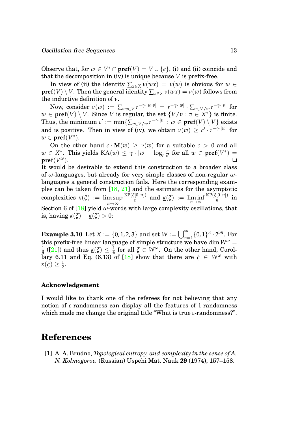Observe that, for  $w \in V^* \cap \text{pref}(V) = V \cup \{e\}$ , (i) and (ii) coincide and that the decomposition in (iv) is unique because *V* is prefix-free.

In view of (ii) the identity  $\sum_{x \in X} \nu(wx) = \nu(w)$  is obvious for  $w \in$  $\textbf{pref}(V) \setminus V.$  Then the general identity  $\sum_{x \in X} \nu(wx) = \nu(w)$  follows from the inductive definition of *ν*.

 $\textbf{Now, consider } \nu(w) \ := \ \sum_{wv \in V} r^{-\gamma \cdot |w \cdot v|} \ = \ r^{-\gamma \cdot |w|} \cdot \sum_{v \in V/w} r^{-\gamma \cdot |v|} \ \text{for}$  $w \in \text{pref}(V) \setminus V$ . Since *V* is regular, the set  $\{V/v : v \in X^*\}$  is finite.  $\text{Thus, the minimum } c' := \min\{\sum_{v \in V/w} r^{-\gamma \cdot |v|} : w \in \textbf{pref}(V) \setminus V\} \text{ exists}$ and is positive. Then in view of (iv), we obtain  $\nu(w) \geq c' \cdot r^{-\gamma \cdot |w|}$  for  $w \in \textbf{pref}(V^*)$ .

On the other hand  $c \cdot M(w) \ge v(w)$  for a suitable  $c > 0$  and all  $w \in X^*$ . This yields  $\text{KA}(w) \leq \gamma \cdot |w| - \log_r \frac{c}{c}$  $\frac{c}{c'}$  for all  $w \in \text{pref}(V^*) =$  $pref(V^{\omega}).$ *<sup>ω</sup>*). ❏

It would be desirable to extend this construction to a broader class of *ω*-languages, but already for very simple classes of non-regular *ω*languages a general construction fails. Here the corresponding examples can be taken from [\[18,](#page-15-5) [21\]](#page-15-10) and the estimates for the asymptotic  $\mathsf{complexities} \ \kappa(\xi) \ := \ \limsup \frac{\mathrm{KP}(\xi[0..n])}{n}$ *n*→∞  $\frac{f([0..n])}{n}$  and  $\underline{\kappa}(\xi) := \liminf_{n \to \infty}$ KP(*ξ*[0..*n*])  $\frac{n^{\lfloor 0..n\rfloor}}{n}$  in Section 6 of  $[18]$  yield *ω*-words with large complexity oscillations, that is, having  $\kappa(\xi) - \underline{\kappa}(\xi) > 0$ :

**Example 3.10** Let  $X := \{0, 1, 2, 3\}$  and set  $W := \bigcup_{n=1}^{\infty}$  $\sum_{n=1}^{\infty} \{0,1\}^n \cdot 2^{3n}$ . For this prefix-free linear language of simple structure we have dim  $W^{\omega}$  = 1  $\frac{1}{4}$  ([\[21\]](#page-15-10)) and thus  $\underline{\kappa}(\xi) \leq \frac{1}{4}$  for all  $\xi \in W^{\omega}$ . On the other hand, Corol-lary 6.11 and Eq. (6.13) of [\[18\]](#page-15-5) show that there are  $\zeta \in W^{\omega}$  with  $\kappa(\xi) \geq \frac{1}{2}.$ 

#### **Acknowledgement**

I would like to thank one of the referees for not believing that any notion of *ε*-randomness can display all the features of 1-randomness which made me change the original title "What is true *ε*-randomness?".

## **References**

<span id="page-13-0"></span>[1] A. A. Brudno, *Topological entropy, and complexity in the sense of A. N. Kolmogorov.* (Russian) Uspehi Mat. Nauk **29** (1974), 157–158.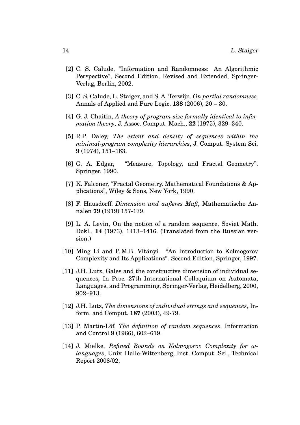- <span id="page-14-7"></span>[2] C. S. Calude, "Information and Randomness: An Algorithmic Perspective", Second Edition, Revised and Extended, Springer-Verlag, Berlin, 2002.
- <span id="page-14-0"></span>[3] C. S. Calude, L. Staiger, and S. A. Terwijn. *On partial randomness,* Annals of Applied and Pure Logic, **138** (2006), 20 – 30.
- [4] G. J. Chaitin, *A theory of program size formally identical to information theory*, J. Assoc. Comput. Mach., **22** (1975), 329–340.
- <span id="page-14-5"></span>[5] R.P. Daley, *The extent and density of sequences within the minimal-program complexity hierarchies*, J. Comput. System Sci. **9** (1974), 151–163.
- <span id="page-14-6"></span>[6] G. A. Edgar, "Measure, Topology, and Fractal Geometry". Springer, 1990.
- <span id="page-14-8"></span>[7] K. Falconer, "Fractal Geometry. Mathematical Foundations & Applications", Wiley & Sons, New York, 1990.
- [8] F. Hausdorff. *Dimension und äußeres Maß*, Mathematische Annalen **79** (1919) 157-179.
- [9] L. A. Levin, On the notion of a random sequence, Soviet Math. Dokl., **14** (1973), 1413–1416. (Translated from the Russian version.)
- <span id="page-14-4"></span>[10] Ming Li and P.M.B. Vitányi. "An Introduction to Kolmogorov Complexity and Its Applications". Second Edition, Springer, 1997.
- <span id="page-14-2"></span>[11] J.H. Lutz, Gales and the constructive dimension of individual sequences, In Proc. 27th International Colloquium on Automata, Languages, and Programming, Springer-Verlag, Heidelberg, 2000, 902–913.
- <span id="page-14-3"></span>[12] J.H. Lutz, *The dimensions of individual strings and sequences*, Inform. and Comput. **187** (2003), 49-79.
- <span id="page-14-1"></span>[13] P. Martin-Löf, *The definition of random sequences*. Information and Control **9** (1966), 602–619.
- <span id="page-14-9"></span>[14] J. Mielke, *Refined Bounds on Kolmogorov Complexity for ωlanguages*, Univ. Halle-Wittenberg, Inst. Comput. Sci., Technical Report 2008/02,